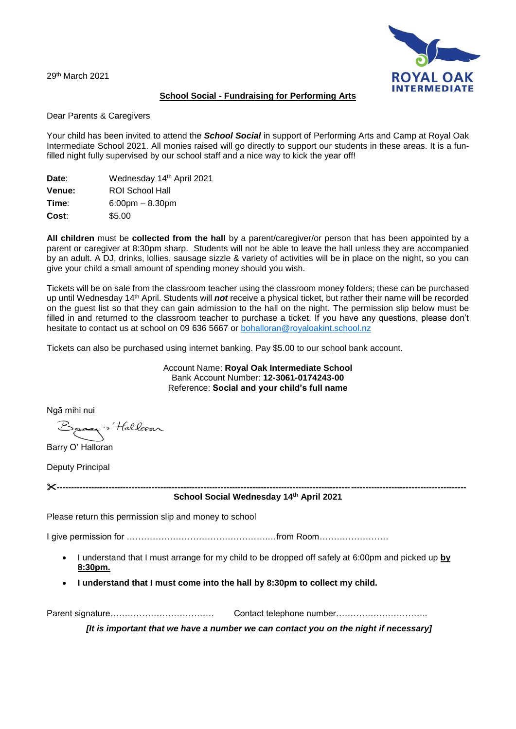29<sup>th</sup> March 2021



## **School Social - Fundraising for Performing Arts**

Dear Parents & Caregivers

Your child has been invited to attend the *School Social* in support of Performing Arts and Camp at Royal Oak Intermediate School 2021. All monies raised will go directly to support our students in these areas. It is a funfilled night fully supervised by our school staff and a nice way to kick the year off!

| Date:         | Wednesday 14th April 2021         |
|---------------|-----------------------------------|
| <b>Venue:</b> | <b>ROI School Hall</b>            |
| Time:         | $6:00 \text{pm} - 8.30 \text{pm}$ |
| Cost:         | \$5.00                            |

**All children** must be **collected from the hall** by a parent/caregiver/or person that has been appointed by a parent or caregiver at 8:30pm sharp. Students will not be able to leave the hall unless they are accompanied by an adult. A DJ, drinks, lollies, sausage sizzle & variety of activities will be in place on the night, so you can give your child a small amount of spending money should you wish.

Tickets will be on sale from the classroom teacher using the classroom money folders; these can be purchased up until Wednesday 14<sup>th</sup> April. Students will *not* receive a physical ticket, but rather their name will be recorded on the guest list so that they can gain admission to the hall on the night. The permission slip below must be filled in and returned to the classroom teacher to purchase a ticket. If you have any questions, please don't hesitate to contact us at school on 09 636 5667 or [bohalloran@royaloakint.school.nz](mailto:bohalloran@royaloakint.school.nz)

Tickets can also be purchased using internet banking. Pay \$5.00 to our school bank account.

Account Name: **Royal Oak Intermediate School** Bank Account Number: **12-3061-0174243-00** Reference: **Social and your child's full name**

Ngā mihi nui

ay "Hallcear

Barry O' Halloran

Deputy Principal

**----------------------------------------------------------------------------------------------------------------------------------------------**

**School Social Wednesday 14 th April 2021**

Please return this permission slip and money to school

I give permission for ………………………………………….…from Room……………………

- I understand that I must arrange for my child to be dropped off safely at 6:00pm and picked up **by 8:30pm.**
- **I understand that I must come into the hall by 8:30pm to collect my child.**

Parent signature……………………………… Contact telephone number…………………………..

*[It is important that we have a number we can contact you on the night if necessary]*